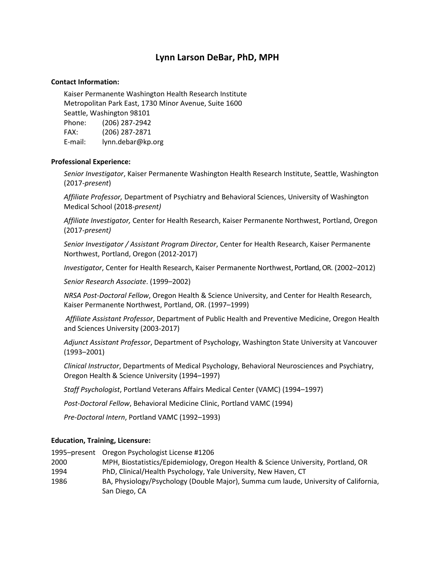# **Lynn Larson DeBar, PhD, MPH**

#### **Contact Information:**

Kaiser Permanente Washington Health Research Institute Metropolitan Park East, 1730 Minor Avenue, Suite 1600 Seattle, Washington 98101 Phone: (206) 287-2942 FAX: (206) 287-2871 E-mail: lynn.debar@kp.org

#### **Professional Experience:**

*Senior Investigator*, Kaiser Permanente Washington Health Research Institute, Seattle, Washington (2017-*present*)

*Affiliate Professor,* Department of Psychiatry and Behavioral Sciences, University of Washington Medical School (2018-*present)*

*Affiliate Investigator,* Center for Health Research, Kaiser Permanente Northwest, Portland, Oregon (2017-*present)*

*Senior Investigator / Assistant Program Director*, Center for Health Research, Kaiser Permanente Northwest, Portland, Oregon (2012-2017)

*Investigator*, Center for Health Research, Kaiser Permanente Northwest, Portland, OR. (2002–2012)

*Senior Research Associate*. (1999–2002)

*NRSA Post-Doctoral Fellow*, Oregon Health & Science University, and Center for Health Research, Kaiser Permanente Northwest, Portland, OR. (1997–1999)

*Affiliate Assistant Professor*, Department of Public Health and Preventive Medicine, Oregon Health and Sciences University (2003-2017)

*Adjunct Assistant Professor*, Department of Psychology, Washington State University at Vancouver (1993–2001)

*Clinical Instructor*, Departments of Medical Psychology, Behavioral Neurosciences and Psychiatry, Oregon Health & Science University (1994–1997)

*Staff Psychologist*, Portland Veterans Affairs Medical Center (VAMC) (1994–1997)

*Post-Doctoral Fellow*, Behavioral Medicine Clinic, Portland VAMC (1994)

*Pre-Doctoral Intern*, Portland VAMC (1992–1993)

#### **Education, Training, Licensure:**

1995–present Oregon Psychologist License #1206

- 2000 MPH, Biostatistics/Epidemiology, Oregon Health & Science University, Portland, OR 1994 PhD, Clinical/Health Psychology, Yale University, New Haven, CT
- 1986 BA, Physiology/Psychology (Double Major), Summa cum laude, University of California, San Diego, CA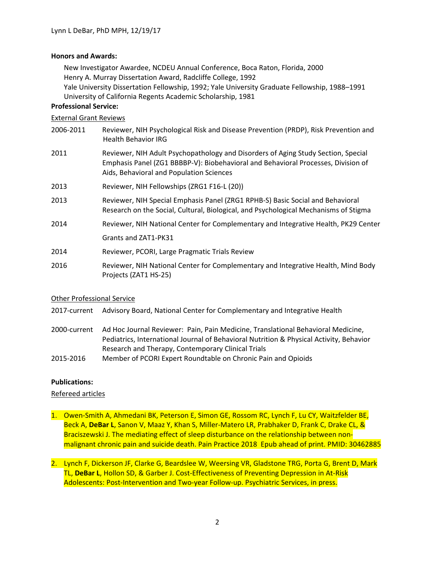#### **Honors and Awards:**

New Investigator Awardee, NCDEU Annual Conference, Boca Raton, Florida, 2000 Henry A. Murray Dissertation Award, Radcliffe College, 1992 Yale University Dissertation Fellowship, 1992; Yale University Graduate Fellowship, 1988–1991

University of California Regents Academic Scholarship, 1981

### **Professional Service:**

#### External Grant Reviews

- 2006-2011 Reviewer, NIH Psychological Risk and Disease Prevention (PRDP), Risk Prevention and Health Behavior IRG
- 2011 Reviewer, NIH Adult Psychopathology and Disorders of Aging Study Section, Special Emphasis Panel (ZG1 BBBBP-V): Biobehavioral and Behavioral Processes, Division of Aids, Behavioral and Population Sciences
- 2013 Reviewer, NIH Fellowships (ZRG1 F16-L (20))
- 2013 Reviewer, NIH Special Emphasis Panel (ZRG1 RPHB-S) Basic Social and Behavioral Research on the Social, Cultural, Biological, and Psychological Mechanisms of Stigma
- 2014 Reviewer, NIH National Center for Complementary and Integrative Health, PK29 Center Grants and ZAT1-PK31
- 2014 Reviewer, PCORI, Large Pragmatic Trials Review
- 2016 Reviewer, NIH National Center for Complementary and Integrative Health, Mind Body Projects (ZAT1 HS-25)

#### Other Professional Service

- 2017-current Advisory Board, National Center for Complementary and Integrative Health
- 2000-current Ad Hoc Journal Reviewer: Pain, Pain Medicine, Translational Behavioral Medicine, Pediatrics, International Journal of Behavioral Nutrition & Physical Activity, Behavior Research and Therapy, Contemporary Clinical Trials
- 2015-2016 Member of PCORI Expert Roundtable on Chronic Pain and Opioids

#### **Publications:**

#### Refereed articles

- 1. Owen-Smith A, Ahmedani BK, Peterson E, Simon GE, Rossom RC, Lynch F, Lu CY, Waitzfelder BE, Beck A, **DeBar L**, Sanon V, Maaz Y, Khan S, Miller-Matero LR, Prabhaker D, Frank C, Drake CL, & Braciszewski J. The mediating effect of sleep disturbance on the relationship between nonmalignant chronic pain and suicide death. Pain Practice 2018 Epub ahead of print. PMID: 30462885
- 2. Lynch F, Dickerson JF, Clarke G, Beardslee W, Weersing VR, Gladstone TRG, Porta G, Brent D, Mark TL, **DeBar L**, Hollon SD, & Garber J. Cost-Effectiveness of Preventing Depression in At-Risk Adolescents: Post-Intervention and Two-year Follow-up. Psychiatric Services, in press.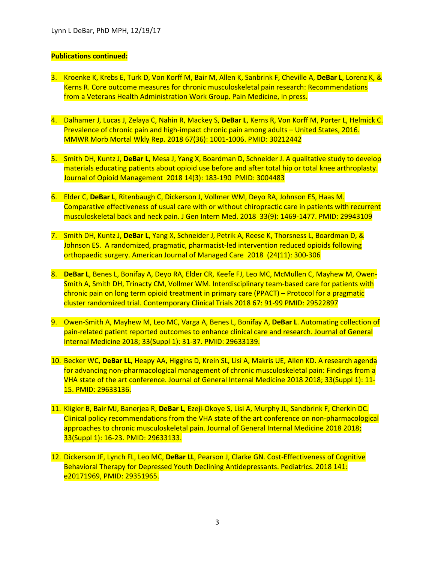- 3. Kroenke K, Krebs E, Turk D, Von Korff M, Bair M, Allen K, Sanbrink F, Cheville A, **DeBar L**, Lorenz K, & Kerns R. Core outcome measures for chronic musculoskeletal pain research: Recommendations from a Veterans Health Administration Work Group. Pain Medicine, in press.
- 4. Dalhamer J, Lucas J, Zelaya C, Nahin R, Mackey S, **DeBar L**, Kerns R, Von Korff M, Porter L, Helmick C. Prevalence of chronic pain and high-impact chronic pain among adults – United States, 2016. MMWR Morb Mortal Wkly Rep. 2018 67(36): 1001-1006. PMID: 30212442
- 5. Smith DH, Kuntz J, **DeBar L**, Mesa J, Yang X, Boardman D, Schneider J. A qualitative study to develop materials educating patients about opioid use before and after total hip or total knee arthroplasty. Journal of Opioid Management 2018 14(3): 183-190 PMID: 3004483
- 6. Elder C, **DeBar L**, Ritenbaugh C, Dickerson J, Vollmer WM, Deyo RA, Johnson ES, Haas M. Comparative effectiveness of usual care with or without chiropractic care in patients with recurrent musculoskeletal back and neck pain. J Gen Intern Med. 2018 33(9): 1469-1477. PMID: 29943109
- 7. Smith DH, Kuntz J, **DeBar L**, Yang X, Schneider J, Petrik A, Reese K, Thorsness L, Boardman D, & Johnson ES. A randomized, pragmatic, pharmacist-led intervention reduced opioids following orthopaedic surgery. American Journal of Managed Care 2018 (24(11): 300-306
- 8. **DeBar L**, Benes L, Bonifay A, Deyo RA, Elder CR, Keefe FJ, Leo MC, McMullen C, Mayhew M, Owen-Smith A, Smith DH, Trinacty CM, Vollmer WM. Interdisciplinary team-based care for patients with chronic pain on long term opioid treatment in primary care (PPACT) – Protocol for a pragmatic cluster randomized trial. Contemporary Clinical Trials 2018 67: 91-99 PMID: 29522897
- 9. Owen-Smith A, Mayhew M, Leo MC, Varga A, Benes L, Bonifay A, **DeBar L**. Automating collection of pain-related patient reported outcomes to enhance clinical care and research. Journal of General Internal Medicine 2018; 33(Suppl 1): 31-37. PMID: 29633139.
- 10. Becker WC, **DeBar LL**, Heapy AA, Higgins D, Krein SL, Lisi A, Makris UE, Allen KD. A research agenda for advancing non-pharmacological management of chronic musculoskeletal pain: Findings from a VHA state of the art conference. Journal of General Internal Medicine 2018 2018; 33(Suppl 1): 11- 15. PMID: 29633136.
- 11. Kligler B, Bair MJ, Banerjea R, **DeBar L**, Ezeji-Okoye S, Lisi A, Murphy JL, Sandbrink F, Cherkin DC. Clinical policy recommendations from the VHA state of the art conference on non-pharmacological approaches to chronic musculoskeletal pain. Journal of General Internal Medicine 2018 2018; 33(Suppl 1): 16-23. PMID: 29633133.
- 12. Dickerson JF, Lynch FL, Leo MC, **DeBar LL**, Pearson J, Clarke GN. Cost-Effectiveness of Cognitive Behavioral Therapy for Depressed Youth Declining Antidepressants. Pediatrics. 2018 141: e20171969, PMID: 29351965.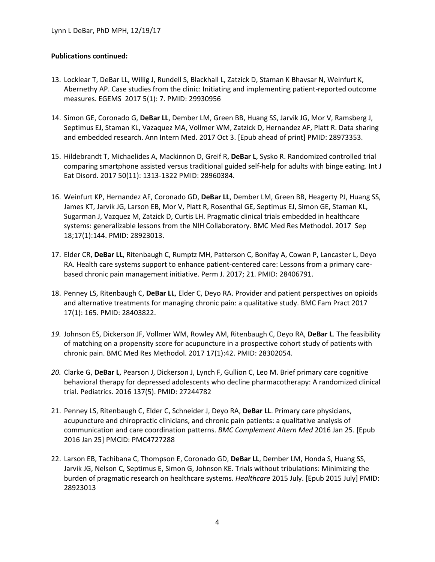- 13. Locklear T, DeBar LL, Willig J, Rundell S, Blackhall L, Zatzick D, Staman K Bhavsar N, Weinfurt K, Abernethy AP. Case studies from the clinic: Initiating and implementing patient-reported outcome measures. EGEMS 2017 5(1): 7. PMID: 29930956
- 14. Simon GE, Coronado G, **DeBar LL**, Dember LM, Green BB, Huang SS, Jarvik JG, Mor V, Ramsberg J, Septimus EJ, Staman KL, Vazaquez MA, Vollmer WM, Zatzick D, Hernandez AF, Platt R. Data sharing and embedded research. Ann Intern Med. 2017 Oct 3. [Epub ahead of print] PMID: 28973353.
- 15. Hildebrandt T, Michaelides A, Mackinnon D, Greif R, **DeBar L**, Sysko R. Randomized controlled trial comparing smartphone assisted versus traditional guided self-help for adults with binge eating. Int J Eat Disord. 2017 50(11): 1313-1322 PMID: 28960384.
- 16. Weinfurt KP, Hernandez AF, Coronado GD, **DeBar LL**, Dember LM, Green BB, Heagerty PJ, Huang SS, James KT, Jarvik JG, Larson EB, Mor V, Platt R, Rosenthal GE, Septimus EJ, Simon GE, Staman KL, Sugarman J, Vazquez M, Zatzick D, Curtis LH. Pragmatic clinical trials embedded in healthcare systems: generalizable lessons from the NIH Collaboratory. BMC Med Res Methodol. 2017 Sep 18;17(1):144. PMID: 28923013.
- 17. Elder CR, **DeBar LL**, Ritenbaugh C, Rumptz MH, Patterson C, Bonifay A, Cowan P, Lancaster L, Deyo RA. Health care systems support to enhance patient-centered care: Lessons from a primary carebased chronic pain management initiative. Perm J. 2017; 21. PMID: 28406791.
- 18. Penney LS, Ritenbaugh C, **DeBar LL**, Elder C, Deyo RA. Provider and patient perspectives on opioids and alternative treatments for managing chronic pain: a qualitative study. BMC Fam Pract 2017 17(1): 165. PMID: 28403822.
- *19.* Johnson ES, Dickerson JF, Vollmer WM, Rowley AM, Ritenbaugh C, Deyo RA, **DeBar L**. The feasibility of matching on a propensity score for acupuncture in a prospective cohort study of patients with chronic pain. BMC Med Res Methodol. 2017 17(1):42. PMID: 28302054.
- *20.* Clarke G, **DeBar L**, Pearson J, Dickerson J, Lynch F, Gullion C, Leo M. Brief primary care cognitive behavioral therapy for depressed adolescents who decline pharmacotherapy: A randomized clinical trial. Pediatrics. 2016 137(5). PMID: 27244782
- 21. Penney LS, Ritenbaugh C, Elder C, Schneider J, Deyo RA, **DeBar LL**. Primary care physicians, acupuncture and chiropractic clinicians, and chronic pain patients: a qualitative analysis of communication and care coordination patterns. *BMC Complement Altern Med* 2016 Jan 25. [Epub 2016 Jan 25] PMCID: PMC4727288
- 22. Larson EB, Tachibana C, Thompson E, Coronado GD, **DeBar LL**, Dember LM, Honda S, Huang SS, Jarvik JG, Nelson C, Septimus E, Simon G, Johnson KE. Trials without tribulations: Minimizing the burden of pragmatic research on healthcare systems. *Healthcare* 2015 July. [Epub 2015 July] PMID: 28923013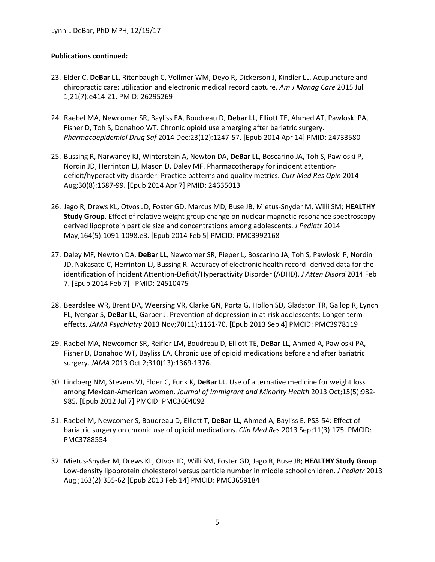- 23. Elder C, **DeBar LL**, Ritenbaugh C, Vollmer WM, Deyo R, Dickerson J, Kindler LL. Acupuncture and chiropractic care: utilization and electronic medical record capture. *Am J Manag Care* 2015 Jul 1;21(7):e414-21. PMID: 26295269
- 24. Raebel MA, Newcomer SR, Bayliss EA, Boudreau D, **Debar LL**, Elliott TE, Ahmed AT, Pawloski PA, Fisher D, Toh S, Donahoo WT. Chronic opioid use emerging after bariatric surgery. *Pharmacoepidemiol Drug Saf* 2014 Dec;23(12):1247-57. [Epub 2014 Apr 14] PMID: 24733580
- 25. Bussing R, Narwaney KJ, Winterstein A, Newton DA, **DeBar LL**, Boscarino JA, Toh S, Pawloski P, Nordin JD, Herrinton LJ, Mason D, Daley MF. Pharmacotherapy for incident attentiondeficit/hyperactivity disorder: Practice patterns and quality metrics. *Curr Med Res Opin* 2014 Aug;30(8):1687-99. [Epub 2014 Apr 7] PMID: 24635013
- 26. Jago R, Drews KL, Otvos JD, Foster GD, Marcus MD, Buse JB, Mietus-Snyder M, Willi SM; **HEALTHY Study Group**. Effect of relative weight group change on nuclear magnetic resonance spectroscopy derived lipoprotein particle size and concentrations among adolescents. *J Pediatr* 2014 May;164(5):1091-1098.e3. [Epub 2014 Feb 5] PMCID: PMC3992168
- 27. Daley MF, Newton DA, **DeBar LL**, Newcomer SR, Pieper L, Boscarino JA, Toh S, Pawloski P, Nordin JD, Nakasato C, Herrinton LJ, Bussing R. Accuracy of electronic health record- derived data for the identification of incident Attention-Deficit/Hyperactivity Disorder (ADHD). *J Atten Disord* 2014 Feb 7. [Epub 2014 Feb 7] PMID: 24510475
- 28. Beardslee WR, Brent DA, Weersing VR, Clarke GN, Porta G, Hollon SD, Gladston TR, Gallop R, Lynch FL, Iyengar S, **DeBar LL**, Garber J. Prevention of depression in at-risk adolescents: Longer-term effects. *JAMA Psychiatry* 2013 Nov;70(11):1161-70. [Epub 2013 Sep 4] PMCID: PMC3978119
- 29. Raebel MA, Newcomer SR, Reifler LM, Boudreau D, Elliott TE, **DeBar LL**, Ahmed A, Pawloski PA, Fisher D, Donahoo WT, Bayliss EA. Chronic use of opioid medications before and after bariatric surgery. *JAMA* 2013 Oct 2;310(13):1369-1376.
- 30. Lindberg NM, Stevens VJ, Elder C, Funk K, **DeBar LL**. Use of alternative medicine for weight loss among Mexican-American women. *Journal of Immigrant and Minority Health* 2013 Oct;15(5):982- 985. [Epub 2012 Jul 7] PMCID: PMC3604092
- 31. Raebel M, Newcomer S, Boudreau D, Elliott T, **DeBar LL,** Ahmed A, Bayliss E. PS3-54: Effect of bariatric surgery on chronic use of opioid medications. *Clin Med Res* 2013 Sep;11(3):175. PMCID: PMC3788554
- 32. Mietus-Snyder M, Drews KL, Otvos JD, Willi SM, Foster GD, Jago R, Buse JB; **HEALTHY Study Group**. Low-density lipoprotein cholesterol versus particle number in middle school children. *J Pediatr* 2013 Aug ;163(2):355-62 [Epub 2013 Feb 14] PMCID: PMC3659184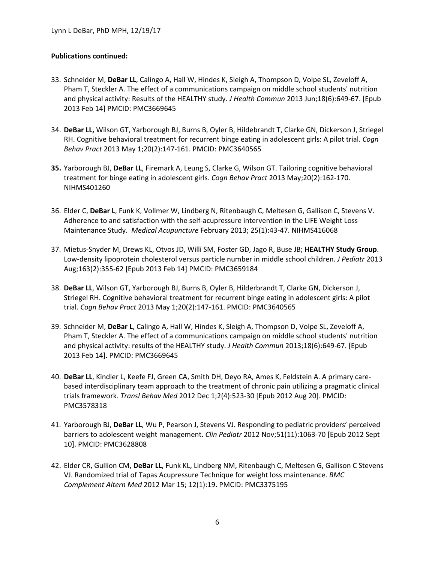- 33. Schneider M, **DeBar LL**, Calingo A, Hall W, Hindes K, Sleigh A, Thompson D, Volpe SL, Zeveloff A, Pham T, Steckler A. The effect of a communications campaign on middle school students' nutrition and physical activity: Results of the HEALTHY study. *J Health Commun* 2013 Jun;18(6):649-67. [Epub 2013 Feb 14] PMCID: PMC3669645
- 34. **DeBar LL,** Wilson GT, Yarborough BJ, Burns B, Oyler B, Hildebrandt T, Clarke GN, Dickerson J, Striegel RH. Cognitive behavioral treatment for recurrent binge eating in adolescent girls: A pilot trial. *Cogn Behav Pract* 2013 May 1;20(2):147-161. PMCID: PMC3640565
- **35.** Yarborough BJ, **DeBar LL**, Firemark A, Leung S, Clarke G, Wilson GT. Tailoring cognitive behavioral treatment for binge eating in adolescent girls. *Cogn Behav Pract* 2013 May;20(2):162-170. NIHMS401260
- 36. Elder C, **DeBar L**, Funk K, Vollmer W, Lindberg N, Ritenbaugh C, Meltesen G, Gallison C, Stevens V. Adherence to and satisfaction with the self-acupressure intervention in the LIFE Weight Loss Maintenance Study. *Medical Acupuncture* February 2013; 25(1):43-47. NIHMS416068
- 37. Mietus-Snyder M, Drews KL, Otvos JD, Willi SM, Foster GD, Jago R, Buse JB; **HEALTHY Study Group**. Low-density lipoprotein cholesterol versus particle number in middle school children. *J Pediatr* 2013 Aug;163(2):355-62 [Epub 2013 Feb 14] PMCID: PMC3659184
- 38. **DeBar LL**, Wilson GT, Yarborough BJ, Burns B, Oyler B, Hilderbrandt T, Clarke GN, Dickerson J, Striegel RH. Cognitive behavioral treatment for recurrent binge eating in adolescent girls: A pilot trial. *Cogn Behav Pract* 2013 May 1;20(2):147-161. PMCID: PMC3640565
- 39. Schneider M, **DeBar L**, Calingo A, Hall W, Hindes K, Sleigh A, Thompson D, Volpe SL, Zeveloff A, Pham T, Steckler A. The effect of a communications campaign on middle school students' nutrition and physical activity: results of the HEALTHY study. *J Health Commun* 2013;18(6):649-67. [Epub 2013 Feb 14]. PMCID: PMC3669645
- 40. **DeBar LL**, Kindler L, Keefe FJ, Green CA, Smith DH, Deyo RA, Ames K, Feldstein A. A primary carebased interdisciplinary team approach to the treatment of chronic pain utilizing a pragmatic clinical trials framework. *Transl Behav Med* 2012 Dec 1;2(4):523-30 [Epub 2012 Aug 20]. PMCID: PMC3578318
- 41. Yarborough BJ, **DeBar LL**, Wu P, Pearson J, Stevens VJ. Responding to pediatric providers' perceived barriers to adolescent weight management. *Clin Pediatr* 2012 Nov;51(11):1063-70 [Epub 2012 Sept 10]. PMCID: PMC3628808
- 42. Elder CR, Gullion CM, **DeBar LL**, Funk KL, Lindberg NM, Ritenbaugh C, Meltesen G, Gallison C Stevens VJ. Randomized trial of Tapas Acupressure Technique for weight loss maintenance. *BMC Complement Altern Med* 2012 Mar 15; 12(1):19. PMCID: PMC3375195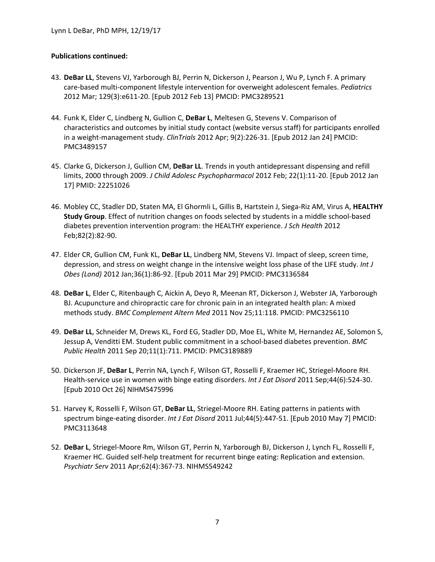- 43. **DeBar LL**, Stevens VJ, Yarborough BJ, Perrin N, Dickerson J, Pearson J, Wu P, Lynch F. A primary care-based multi-component lifestyle intervention for overweight adolescent females. *Pediatrics* 2012 Mar; 129(3):e611-20. [Epub 2012 Feb 13] PMCID: PMC3289521
- 44. Funk K, Elder C, Lindberg N, Gullion C, **DeBar L**, Meltesen G, Stevens V. Comparison of characteristics and outcomes by initial study contact (website versus staff) for participants enrolled in a weight-management study. *ClinTrials* 2012 Apr; 9(2):226-31. [Epub 2012 Jan 24] PMCID: PMC3489157
- 45. Clarke G, Dickerson J, Gullion CM, **DeBar LL**. Trends in youth antidepressant dispensing and refill limits, 2000 through 2009. *J Child Adolesc Psychopharmacol* 2012 Feb; 22(1):11-20. [Epub 2012 Jan 17] PMID: 22251026
- 46. Mobley CC, Stadler DD, Staten MA, El Ghormli L, Gillis B, Hartstein J, Siega-Riz AM, Virus A, **HEALTHY Study Group**. Effect of nutrition changes on foods selected by students in a middle school-based diabetes prevention intervention program: the HEALTHY experience. *J Sch Health* 2012 Feb;82(2):82-90.
- 47. Elder CR, Gullion CM, Funk KL, **DeBar LL**, Lindberg NM, Stevens VJ. Impact of sleep, screen time, depression, and stress on weight change in the intensive weight loss phase of the LIFE study. *Int J Obes (Lond)* 2012 Jan;36(1):86-92. [Epub 2011 Mar 29] PMCID: PMC3136584
- 48. **DeBar L**, Elder C, Ritenbaugh C, Aickin A, Deyo R, Meenan RT, Dickerson J, Webster JA, Yarborough BJ. Acupuncture and chiropractic care for chronic pain in an integrated health plan: A mixed methods study. *BMC Complement Altern Med* 2011 Nov 25;11:118. PMCID: PMC3256110
- 49. **DeBar LL**, Schneider M, Drews KL, Ford EG, Stadler DD, Moe EL, White M, Hernandez AE, Solomon S, Jessup A, Venditti EM. Student public commitment in a school-based diabetes prevention. *BMC Public Health* 2011 Sep 20;11(1):711. PMCID: PMC3189889
- 50. Dickerson JF, **DeBar L**, Perrin NA, Lynch F, Wilson GT, Rosselli F, Kraemer HC, Striegel-Moore RH. Health-service use in women with binge eating disorders. *Int J Eat Disord* 2011 Sep;44(6):524-30. [Epub 2010 Oct 26] NIHMS475996
- 51. Harvey K, Rosselli F, Wilson GT, **DeBar LL**, Striegel-Moore RH. Eating patterns in patients with spectrum binge-eating disorder. *Int J Eat Disord* 2011 Jul;44(5):447-51. [Epub 2010 May 7] PMCID: PMC3113648
- 52. **DeBar L**, Striegel-Moore Rm, Wilson GT, Perrin N, Yarborough BJ, Dickerson J, Lynch FL, Rosselli F, Kraemer HC. Guided self-help treatment for recurrent binge eating: Replication and extension. *Psychiatr Serv* 2011 Apr;62(4):367-73. NIHMS549242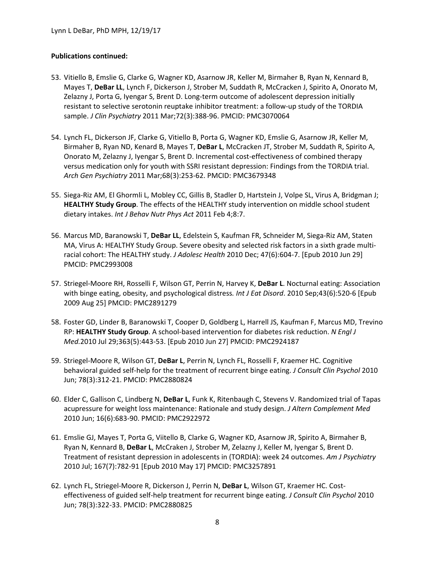- 53. Vitiello B, Emslie G, Clarke G, Wagner KD, Asarnow JR, Keller M, Birmaher B, Ryan N, Kennard B, Mayes T, **DeBar LL**, Lynch F, Dickerson J, Strober M, Suddath R, McCracken J, Spirito A, Onorato M, Zelazny J, Porta G, Iyengar S, Brent D. Long-term outcome of adolescent depression initially resistant to selective serotonin reuptake inhibitor treatment: a follow-up study of the TORDIA sample. *J Clin Psychiatry* 2011 Mar;72(3):388-96. PMCID: PMC3070064
- 54. Lynch FL, Dickerson JF, Clarke G, Vitiello B, Porta G, Wagner KD, Emslie G, Asarnow JR, Keller M, Birmaher B, Ryan ND, Kenard B, Mayes T, **DeBar L**, McCracken JT, Strober M, Suddath R, Spirito A, Onorato M, Zelazny J, Iyengar S, Brent D. Incremental cost-effectiveness of combined therapy versus medication only for youth with SSRI resistant depression: Findings from the TORDIA trial. *Arch Gen Psychiatry* 2011 Mar;68(3):253-62. PMCID: PMC3679348
- 55. Siega-Riz AM, El Ghormli L, Mobley CC, Gillis B, Stadler D, Hartstein J, Volpe SL, Virus A, Bridgman J; **HEALTHY Study Group**. The effects of the HEALTHY study intervention on middle school student dietary intakes. *Int J Behav Nutr Phys Act* 2011 Feb 4;8:7.
- 56. Marcus MD, Baranowski T, **DeBar LL**, Edelstein S, Kaufman FR, Schneider M, Siega-Riz AM, Staten MA, Virus A: HEALTHY Study Group. Severe obesity and selected risk factors in a sixth grade multiracial cohort: The HEALTHY study. *J Adolesc Health* 2010 Dec; 47(6):604-7. [Epub 2010 Jun 29] PMCID: PMC2993008
- 57. Striegel-Moore RH, Rosselli F, Wilson GT, Perrin N, Harvey K, **DeBar L**. Nocturnal eating: Association with binge eating, obesity, and psychological distress*. Int J Eat Disord*. 2010 Sep;43(6):520-6 [Epub 2009 Aug 25] PMCID: PMC2891279
- 58. Foster GD, Linder B, Baranowski T, Cooper D, Goldberg L, Harrell JS, Kaufman F, Marcus MD, Trevino RP: **HEALTHY Study Group**. A school-based intervention for diabetes risk reduction. *N Engl J Med.*2010 Jul 29;363(5):443-53. [Epub 2010 Jun 27] PMCID: PMC2924187
- 59. Striegel-Moore R, Wilson GT, **DeBar L**, Perrin N, Lynch FL, Rosselli F, Kraemer HC. Cognitive behavioral guided self-help for the treatment of recurrent binge eating. *J Consult Clin Psychol* 2010 Jun; 78(3):312-21. PMCID: PMC2880824
- 60. Elder C, Gallison C, Lindberg N, **DeBar L**, Funk K, Ritenbaugh C, Stevens V. Randomized trial of Tapas acupressure for weight loss maintenance: Rationale and study design. *J Altern Complement Med* 2010 Jun; 16(6):683-90. PMCID: PMC2922972
- 61. Emslie GJ, Mayes T, Porta G, Viitello B, Clarke G, Wagner KD, Asarnow JR, Spirito A, Birmaher B, Ryan N, Kennard B, **DeBar L**, McCraken J, Strober M, Zelazny J, Keller M, Iyengar S, Brent D. Treatment of resistant depression in adolescents in (TORDIA): week 24 outcomes. *Am J Psychiatry* 2010 Jul; 167(7):782-91 [Epub 2010 May 17] PMCID: PMC3257891
- 62. Lynch FL, Striegel-Moore R, Dickerson J, Perrin N, **DeBar L**, Wilson GT, Kraemer HC. Costeffectiveness of guided self-help treatment for recurrent binge eating. *J Consult Clin Psychol* 2010 Jun; 78(3):322-33. PMCID: PMC2880825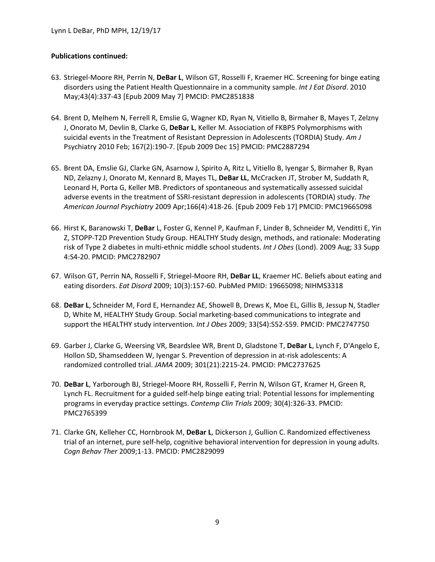- 63. Striegel-Moore RH, Perrin N, **DeBar L**, Wilson GT, Rosselli F, Kraemer HC. Screening for binge eating disorders using the Patient Health Questionnaire in a community sample. *Int J Eat Disord*. 2010 May;43(4):337-43 [Epub 2009 May 7] PMCID: PMC2851838
- 64. Brent D, Melhem N, Ferrell R, Emslie G, Wagner KD, Ryan N, Vitiello B, Birmaher B, Mayes T, Zelzny J, Onorato M, Devlin B, Clarke G, **DeBar L**, Keller M. Association of FKBP5 Polymorphisms with suicidal events in the Treatment of Resistant Depression in Adolescents (TORDIA) Study. *Am J*  Psychiatry 2010 Feb; 167(2):190-7. [Epub 2009 Dec 15] PMCID: PMC2887294
- 65. Brent DA, Emslie GJ, Clarke GN, Asarnow J, Spirito A, Ritz L, Vitiello B, Iyengar S, Birmaher B, Ryan ND, Zelazny J, Onorato M, Kennard B, Mayes TL, **DeBar LL**, McCracken JT, Strober M, Suddath R, Leonard H, Porta G, Keller MB. Predictors of spontaneous and systematically assessed suicidal adverse events in the treatment of SSRI-resistant depression in adolescents (TORDIA) study. *The American Journal Psychiatry* 2009 Apr;166(4):418-26. [Epub 2009 Feb 17] PMCID: PMC19665098
- 66. Hirst K, Baranowski T, **DeBar** L, Foster G, Kennel P, Kaufman F, Linder B, Schneider M, Venditti E, Yin Z, STOPP-T2D Prevention Study Group. HEALTHY Study design, methods, and rationale: Moderating risk of Type 2 diabetes in multi-ethnic middle school students. *Int J Obes* (Lond). 2009 Aug; 33 Supp 4:S4-20. PMCID: PMC2782907
- 67. Wilson GT, Perrin NA, Rosselli F, Striegel-Moore RH, **DeBar LL**, Kraemer HC. Beliefs about eating and eating disorders. *Eat Disord* 2009; 10(3):157-60. PubMed PMID: 19665098; NIHMS3318
- 68. **DeBar L**, Schneider M, Ford E, Hernandez AE, Showell B, Drews K, Moe EL, Gillis B, Jessup N, Stadler D, White M, HEALTHY Study Group. Social marketing-based communications to integrate and support the HEALTHY study intervention*. Int J Obes* 2009; 33(S4):S52-S59. PMCID: PMC2747750
- 69. Garber J, Clarke G, Weersing VR, Beardslee WR, Brent D, Gladstone T, **DeBar L**, Lynch F, D'Angelo E, Hollon SD, Shamseddeen W, Iyengar S. Prevention of depression in at-risk adolescents: A randomized controlled trial. *JAMA* 2009; 301(21):2215-24. PMCID: PMC2737625
- 70. **DeBar L**, Yarborough BJ, Striegel-Moore RH, Rosselli F, Perrin N, Wilson GT, Kramer H, Green R, Lynch FL. Recruitment for a guided self-help binge eating trial: Potential lessons for implementing programs in everyday practice settings. *Contemp Clin Trials* 2009; 30(4):326-33. PMCID: PMC2765399
- 71. Clarke GN, Kelleher CC, Hornbrook M, **DeBar L**, Dickerson J, Gullion C. Randomized effectiveness trial of an internet, pure self-help, cognitive behavioral intervention for depression in young adults. *Cogn Behav Ther* 2009;1-13. PMCID: PMC2829099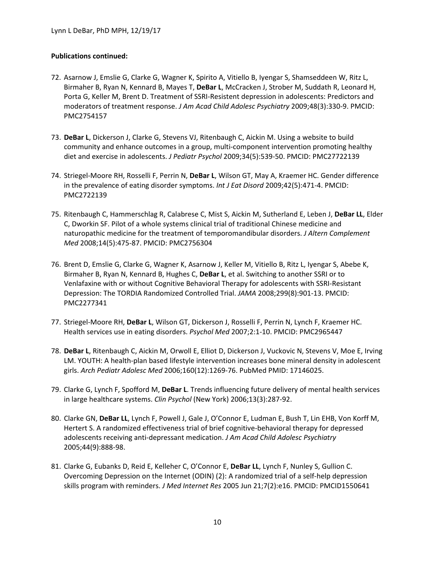- 72. Asarnow J, Emslie G, Clarke G, Wagner K, Spirito A, Vitiello B, Iyengar S, Shamseddeen W, Ritz L, Birmaher B, Ryan N, Kennard B, Mayes T, **DeBar L**, McCracken J, Strober M, Suddath R, Leonard H, Porta G, Keller M, Brent D. Treatment of SSRI-Resistent depression in adolescents: Predictors and moderators of treatment response. *J Am Acad Child Adolesc Psychiatry* 2009;48(3):330-9. PMCID: PMC2754157
- 73. **DeBar L**, Dickerson J, Clarke G, Stevens VJ, Ritenbaugh C, Aickin M. Using a website to build community and enhance outcomes in a group, multi-component intervention promoting healthy diet and exercise in adolescents. *J Pediatr Psychol* 2009;34(5):539-50. PMCID: PMC27722139
- 74. Striegel-Moore RH, Rosselli F, Perrin N, **DeBar L**, Wilson GT, May A, Kraemer HC. Gender difference in the prevalence of eating disorder symptoms. *Int J Eat Disord* 2009;42(5):471-4. PMCID: PMC2722139
- 75. Ritenbaugh C, Hammerschlag R, Calabrese C, Mist S, Aickin M, Sutherland E, Leben J, **DeBar LL**, Elder C, Dworkin SF. Pilot of a whole systems clinical trial of traditional Chinese medicine and naturopathic medicine for the treatment of temporomandibular disorders. *J Altern Complement Med* 2008;14(5):475-87. PMCID: PMC2756304
- 76. Brent D, Emslie G, Clarke G, Wagner K, Asarnow J, Keller M, Vitiello B, Ritz L, Iyengar S, Abebe K, Birmaher B, Ryan N, Kennard B, Hughes C, **DeBar L**, et al. Switching to another SSRI or to Venlafaxine with or without Cognitive Behavioral Therapy for adolescents with SSRI-Resistant Depression: The TORDIA Randomized Controlled Trial. *JAMA* 2008;299(8):901-13. PMCID: PMC2277341
- 77. Striegel-Moore RH, **DeBar L**, Wilson GT, Dickerson J, Rosselli F, Perrin N, Lynch F, Kraemer HC. Health services use in eating disorders. *Psychol Med* 2007;2:1-10. PMCID: PMC2965447
- 78. **DeBar L**, Ritenbaugh C, Aickin M, Orwoll E, Elliot D, Dickerson J, Vuckovic N, Stevens V, Moe E, Irving LM. YOUTH: A health-plan based lifestyle intervention increases bone mineral density in adolescent girls. *Arch Pediatr Adolesc Med* 2006;160(12):1269-76. PubMed PMID: 17146025.
- 79. Clarke G, Lynch F, Spofford M, **DeBar L**. Trends influencing future delivery of mental health services in large healthcare systems. *Clin Psychol* (New York) 2006;13(3):287-92.
- 80. Clarke GN, **DeBar LL**, Lynch F, Powell J, Gale J, O'Connor E, Ludman E, Bush T, Lin EHB, Von Korff M, Hertert S. A randomized effectiveness trial of brief cognitive-behavioral therapy for depressed adolescents receiving anti-depressant medication. *J Am Acad Child Adolesc Psychiatry* 2005;44(9):888-98.
- 81. Clarke G, Eubanks D, Reid E, Kelleher C, O'Connor E, **DeBar LL**, Lynch F, Nunley S, Gullion C. Overcoming Depression on the Internet (ODIN) (2): A randomized trial of a self-help depression skills program with reminders. *J Med Internet Res* 2005 Jun 21;7(2):e16. PMCID: PMCID1550641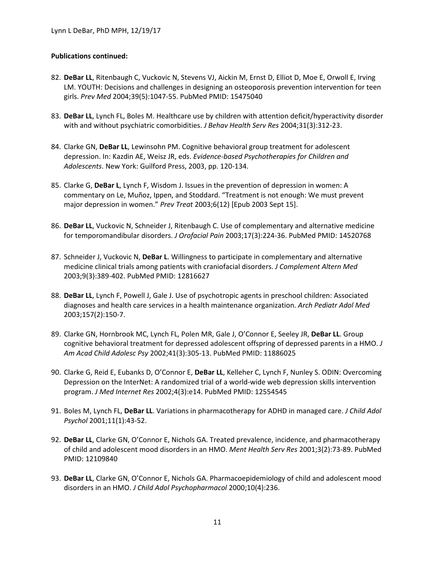- 82. **DeBar LL**, Ritenbaugh C, Vuckovic N, Stevens VJ, Aickin M, Ernst D, Elliot D, Moe E, Orwoll E, Irving LM. YOUTH: Decisions and challenges in designing an osteoporosis prevention intervention for teen girls. *Prev Med* 2004;39(5):1047-55. PubMed PMID: 15475040
- 83. **DeBar LL**, Lynch FL, Boles M. Healthcare use by children with attention deficit/hyperactivity disorder with and without psychiatric comorbidities. *J Behav Health Serv Res* 2004;31(3):312-23.
- 84. Clarke GN, **DeBar LL**, Lewinsohn PM. Cognitive behavioral group treatment for adolescent depression. In: Kazdin AE, Weisz JR, eds. *Evidence-based Psychotherapies for Children and Adolescents*. New York: Guilford Press, 2003, pp. 120-134.
- 85. Clarke G, **DeBar L**, Lynch F, Wisdom J. Issues in the prevention of depression in women: A commentary on Le, Muñoz, Ippen, and Stoddard. "Treatment is not enough: We must prevent major depression in women." *Prev Treat* 2003;6(12) [Epub 2003 Sept 15].
- 86. **DeBar LL**, Vuckovic N, Schneider J, Ritenbaugh C. Use of complementary and alternative medicine for temporomandibular disorders. *J Orofacial Pain* 2003;17(3):224-36. PubMed PMID: 14520768
- 87. Schneider J, Vuckovic N, **DeBar L**. Willingness to participate in complementary and alternative medicine clinical trials among patients with craniofacial disorders. *J Complement Altern Med* 2003;9(3):389-402. PubMed PMID: 12816627
- 88. **DeBar LL**, Lynch F, Powell J, Gale J. Use of psychotropic agents in preschool children: Associated diagnoses and health care services in a health maintenance organization. *Arch Pediatr Adol Med* 2003;157(2):150-7.
- 89. Clarke GN, Hornbrook MC, Lynch FL, Polen MR, Gale J, O'Connor E, Seeley JR, **DeBar LL**. Group cognitive behavioral treatment for depressed adolescent offspring of depressed parents in a HMO. *J Am Acad Child Adolesc Psy* 2002;41(3):305-13. PubMed PMID: 11886025
- 90. Clarke G, Reid E, Eubanks D, O'Connor E, **DeBar LL**, Kelleher C, Lynch F, Nunley S. ODIN: Overcoming Depression on the InterNet: A randomized trial of a world-wide web depression skills intervention program. *J Med Internet Res* 2002;4(3):e14. PubMed PMID: 12554545
- 91. Boles M, Lynch FL, **DeBar LL**. Variations in pharmacotherapy for ADHD in managed care. *J Child Adol Psychol* 2001;11(1):43-52.
- 92. **DeBar LL**, Clarke GN, O'Connor E, Nichols GA. Treated prevalence, incidence, and pharmacotherapy of child and adolescent mood disorders in an HMO. *Ment Health Serv Res* 2001;3(2):73-89. PubMed PMID: 12109840
- 93. **DeBar LL**, Clarke GN, O'Connor E, Nichols GA. Pharmacoepidemiology of child and adolescent mood disorders in an HMO. *J Child Adol Psychopharmacol* 2000;10(4):236.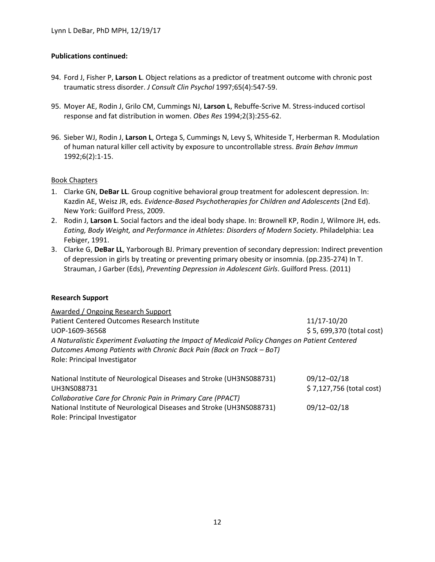- 94. Ford J, Fisher P, **Larson L**. Object relations as a predictor of treatment outcome with chronic post traumatic stress disorder. *J Consult Clin Psychol* 1997;65(4):547-59.
- 95. Moyer AE, Rodin J, Grilo CM, Cummings NJ, **Larson L**, Rebuffe-Scrive M. Stress-induced cortisol response and fat distribution in women. *Obes Res* 1994;2(3):255-62.
- 96. Sieber WJ, Rodin J, **Larson L**, Ortega S, Cummings N, Levy S, Whiteside T, Herberman R. Modulation of human natural killer cell activity by exposure to uncontrollable stress. *Brain Behav Immun* 1992;6(2):1-15.

#### Book Chapters

- 1. Clarke GN, **DeBar LL**. Group cognitive behavioral group treatment for adolescent depression. In: Kazdin AE, Weisz JR, eds. *Evidence-Based Psychotherapies for Children and Adolescents* (2nd Ed). New York: Guilford Press, 2009.
- 2. Rodin J, **Larson L**. Social factors and the ideal body shape. In: Brownell KP, Rodin J, Wilmore JH, eds. *Eating, Body Weight, and Performance in Athletes: Disorders of Modern Society*. Philadelphia: Lea Febiger, 1991.
- 3. Clarke G, **DeBar LL**, Yarborough BJ. Primary prevention of secondary depression: Indirect prevention of depression in girls by treating or preventing primary obesity or insomnia. (pp.235-274) In T. Strauman, J Garber (Eds), *Preventing Depression in Adolescent Girls*. Guilford Press. (2011)

#### **Research Support**

| Awarded / Ongoing Research Support                                                   |                                         |
|--------------------------------------------------------------------------------------|-----------------------------------------|
| Patient Centered Outcomes Research Institute<br>UOP-1609-36568                       | 11/17-10/20<br>\$5,699,370 (total cost) |
|                                                                                      |                                         |
| National Institute of Neurological Diseases and Stroke (UH3NS088731)<br>111120000721 | 09/12-02/18<br>$(7127756$ (total cost)  |

UH3NS088731 \$ 7,127,756 (total cost) *Collaborative Care for Chronic Pain in Primary Care (PPACT)* National Institute of Neurological Diseases and Stroke (UH3NS088731) 09/12–02/18 Role: Principal Investigator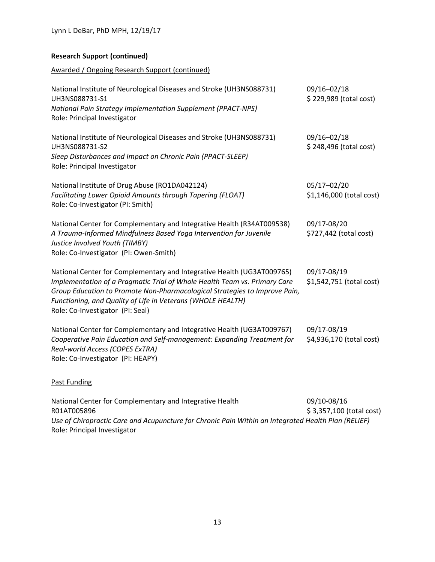## **Research Support (continued)**

Awarded / Ongoing Research Support (continued)

| National Institute of Neurological Diseases and Stroke (UH3NS088731)<br>UH3NS088731-S1<br>National Pain Strategy Implementation Supplement (PPACT-NPS)<br>Role: Principal Investigator                                                                                                                                               | 09/16-02/18<br>\$229,989 (total cost)   |
|--------------------------------------------------------------------------------------------------------------------------------------------------------------------------------------------------------------------------------------------------------------------------------------------------------------------------------------|-----------------------------------------|
| National Institute of Neurological Diseases and Stroke (UH3NS088731)<br>UH3NS088731-S2<br>Sleep Disturbances and Impact on Chronic Pain (PPACT-SLEEP)<br>Role: Principal Investigator                                                                                                                                                | 09/16-02/18<br>\$248,496 (total cost)   |
| National Institute of Drug Abuse (RO1DA042124)<br>Facilitating Lower Opioid Amounts through Tapering (FLOAT)<br>Role: Co-Investigator (PI: Smith)                                                                                                                                                                                    | 05/17-02/20<br>\$1,146,000 (total cost) |
| National Center for Complementary and Integrative Health (R34AT009538)<br>A Trauma-Informed Mindfulness Based Yoga Intervention for Juvenile<br>Justice Involved Youth (TIMBY)<br>Role: Co-Investigator (PI: Owen-Smith)                                                                                                             | 09/17-08/20<br>\$727,442 (total cost)   |
| National Center for Complementary and Integrative Health (UG3AT009765)<br>Implementation of a Pragmatic Trial of Whole Health Team vs. Primary Care<br>Group Education to Promote Non-Pharmacological Strategies to Improve Pain,<br>Functioning, and Quality of Life in Veterans (WHOLE HEALTH)<br>Role: Co-Investigator (PI: Seal) | 09/17-08/19<br>\$1,542,751 (total cost) |
| National Center for Complementary and Integrative Health (UG3AT009767)<br>Cooperative Pain Education and Self-management: Expanding Treatment for<br>Real-world Access (COPES ExTRA)<br>Role: Co-Investigator (PI: HEAPY)                                                                                                            | 09/17-08/19<br>\$4,936,170 (total cost) |
| Past Funding                                                                                                                                                                                                                                                                                                                         |                                         |
| National Center for Complementary and Integrative Health                                                                                                                                                                                                                                                                             | 09/10-08/16                             |

R01AT005896 \$ 3,357,100 (total cost) *Use of Chiropractic Care and Acupuncture for Chronic Pain Within an Integrated Health Plan (RELIEF)* Role: Principal Investigator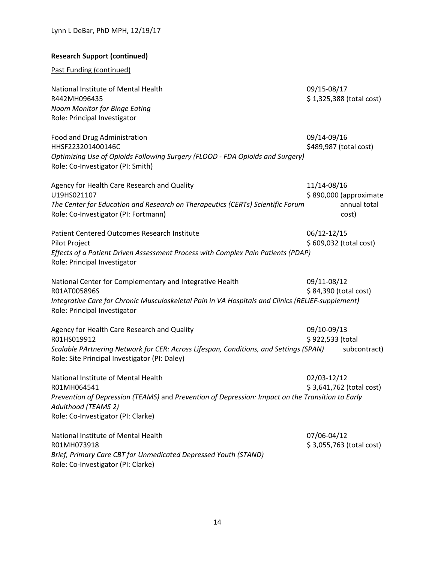# **Research Support (continued)**

Past Funding (continued)

| National Institute of Mental Health<br>R442MH096435<br>Noom Monitor for Binge Eating<br>Role: Principal Investigator                                                                                                | 09/15-08/17<br>$$1,325,388$ (total cost)                       |
|---------------------------------------------------------------------------------------------------------------------------------------------------------------------------------------------------------------------|----------------------------------------------------------------|
| Food and Drug Administration<br>HHSF223201400146C<br>Optimizing Use of Opioids Following Surgery (FLOOD - FDA Opioids and Surgery)<br>Role: Co-Investigator (PI: Smith)                                             | 09/14-09/16<br>\$489,987 (total cost)                          |
| Agency for Health Care Research and Quality<br>U19HS021107<br>The Center for Education and Research on Therapeutics (CERTs) Scientific Forum<br>Role: Co-Investigator (PI: Fortmann)                                | 11/14-08/16<br>\$890,000 (approximate<br>annual total<br>cost) |
| <b>Patient Centered Outcomes Research Institute</b><br>Pilot Project<br>Effects of a Patient Driven Assessment Process with Complex Pain Patients (PDAP)<br>Role: Principal Investigator                            | 06/12-12/15<br>\$609,032 (total cost)                          |
| National Center for Complementary and Integrative Health<br>R01AT005896S<br>Integrative Care for Chronic Musculoskeletal Pain in VA Hospitals and Clinics (RELIEF-supplement)<br>Role: Principal Investigator       | 09/11-08/12<br>\$84,390 (total cost)                           |
| Agency for Health Care Research and Quality<br>R01HS019912<br>Scalable PArtnering Network for CER: Across Lifespan, Conditions, and Settings (SPAN)<br>Role: Site Principal Investigator (PI: Daley)                | 09/10-09/13<br>\$922,533 (total<br>subcontract)                |
| National Institute of Mental Health<br>R01MH064541<br>Prevention of Depression (TEAMS) and Prevention of Depression: Impact on the Transition to Early<br>Adulthood (TEAMS 2)<br>Role: Co-Investigator (PI: Clarke) | 02/03-12/12<br>$$3,641,762$ (total cost)                       |
| National Institute of Mental Health<br>R01MH073918<br>Brief, Primary Care CBT for Unmedicated Depressed Youth (STAND)<br>Role: Co-Investigator (PI: Clarke)                                                         | 07/06-04/12<br>\$3,055,763 (total cost)                        |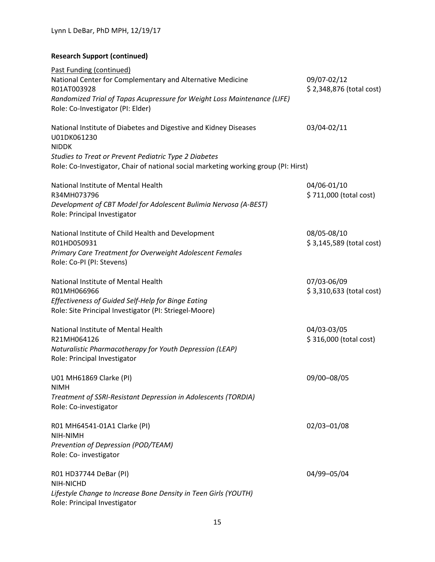# **Research Support (continued)**

| Past Funding (continued)                                                                                                                                           |                                         |
|--------------------------------------------------------------------------------------------------------------------------------------------------------------------|-----------------------------------------|
| National Center for Complementary and Alternative Medicine<br>R01AT003928                                                                                          | 09/07-02/12<br>\$2,348,876 (total cost) |
| Randomized Trial of Tapas Acupressure for Weight Loss Maintenance (LIFE)<br>Role: Co-Investigator (PI: Elder)                                                      |                                         |
| National Institute of Diabetes and Digestive and Kidney Diseases<br>U01DK061230<br><b>NIDDK</b>                                                                    | 03/04-02/11                             |
| Studies to Treat or Prevent Pediatric Type 2 Diabetes<br>Role: Co-Investigator, Chair of national social marketing working group (PI: Hirst)                       |                                         |
| National Institute of Mental Health<br>R34MH073796<br>Development of CBT Model for Adolescent Bulimia Nervosa (A-BEST)                                             | 04/06-01/10<br>\$711,000 (total cost)   |
| Role: Principal Investigator<br>National Institute of Child Health and Development<br>R01HD050931                                                                  | 08/05-08/10<br>\$3,145,589 (total cost) |
| Primary Care Treatment for Overweight Adolescent Females<br>Role: Co-PI (PI: Stevens)                                                                              |                                         |
| National Institute of Mental Health<br>R01MH066966<br>Effectiveness of Guided Self-Help for Binge Eating<br>Role: Site Principal Investigator (PI: Striegel-Moore) | 07/03-06/09<br>\$3,310,633 (total cost) |
| National Institute of Mental Health<br>R21MH064126<br>Naturalistic Pharmacotherapy for Youth Depression (LEAP)<br>Role: Principal Investigator                     | 04/03-03/05<br>\$316,000 (total cost)   |
| U01 MH61869 Clarke (PI)<br><b>NIMH</b><br>Treatment of SSRI-Resistant Depression in Adolescents (TORDIA)                                                           | 09/00-08/05                             |
| Role: Co-investigator<br>R01 MH64541-01A1 Clarke (PI)<br>NIH-NIMH<br>Prevention of Depression (POD/TEAM)<br>Role: Co- investigator                                 | 02/03-01/08                             |
| R01 HD37744 DeBar (PI)<br>NIH-NICHD<br>Lifestyle Change to Increase Bone Density in Teen Girls (YOUTH)<br>Role: Principal Investigator                             | 04/99-05/04                             |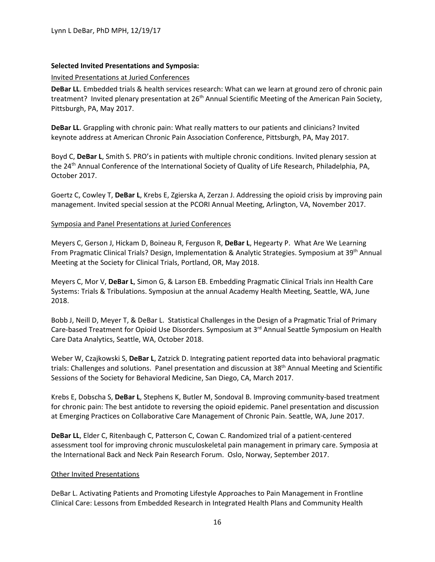### **Selected Invited Presentations and Symposia:**

#### Invited Presentations at Juried Conferences

**DeBar LL**. Embedded trials & health services research: What can we learn at ground zero of chronic pain treatment? Invited plenary presentation at 26<sup>th</sup> Annual Scientific Meeting of the American Pain Society, Pittsburgh, PA, May 2017.

**DeBar LL**. Grappling with chronic pain: What really matters to our patients and clinicians? Invited keynote address at American Chronic Pain Association Conference, Pittsburgh, PA, May 2017.

Boyd C, **DeBar L**, Smith S. PRO's in patients with multiple chronic conditions. Invited plenary session at the 24<sup>th</sup> Annual Conference of the International Society of Quality of Life Research, Philadelphia, PA, October 2017.

Goertz C, Cowley T, **DeBar L**, Krebs E, Zgierska A, Zerzan J. Addressing the opioid crisis by improving pain management. Invited special session at the PCORI Annual Meeting, Arlington, VA, November 2017.

#### Symposia and Panel Presentations at Juried Conferences

Meyers C, Gerson J, Hickam D, Boineau R, Ferguson R, **DeBar L**, Hegearty P. What Are We Learning From Pragmatic Clinical Trials? Design, Implementation & Analytic Strategies. Symposium at 39th Annual Meeting at the Society for Clinical Trials, Portland, OR, May 2018.

Meyers C, Mor V, **DeBar L**, Simon G, & Larson EB. Embedding Pragmatic Clinical Trials inn Health Care Systems: Trials & Tribulations. Symposiun at the annual Academy Health Meeting, Seattle, WA, June 2018.

Bobb J, Neill D, Meyer T, & DeBar L. Statistical Challenges in the Design of a Pragmatic Trial of Primary Care-based Treatment for Opioid Use Disorders. Symposium at 3rd Annual Seattle Symposium on Health Care Data Analytics, Seattle, WA, October 2018.

Weber W, Czajkowski S, **DeBar L**, Zatzick D. Integrating patient reported data into behavioral pragmatic trials: Challenges and solutions. Panel presentation and discussion at 38th Annual Meeting and Scientific Sessions of the Society for Behavioral Medicine, San Diego, CA, March 2017.

Krebs E, Dobscha S, **DeBar L**, Stephens K, Butler M, Sondoval B. Improving community-based treatment for chronic pain: The best antidote to reversing the opioid epidemic. Panel presentation and discussion at Emerging Practices on Collaborative Care Management of Chronic Pain. Seattle, WA, June 2017.

**DeBar LL**, Elder C, Ritenbaugh C, Patterson C, Cowan C. Randomized trial of a patient-centered assessment tool for improving chronic musculoskeletal pain management in primary care. Symposia at the International Back and Neck Pain Research Forum. Oslo, Norway, September 2017.

#### Other Invited Presentations

DeBar L. Activating Patients and Promoting Lifestyle Approaches to Pain Management in Frontline Clinical Care: Lessons from Embedded Research in Integrated Health Plans and Community Health